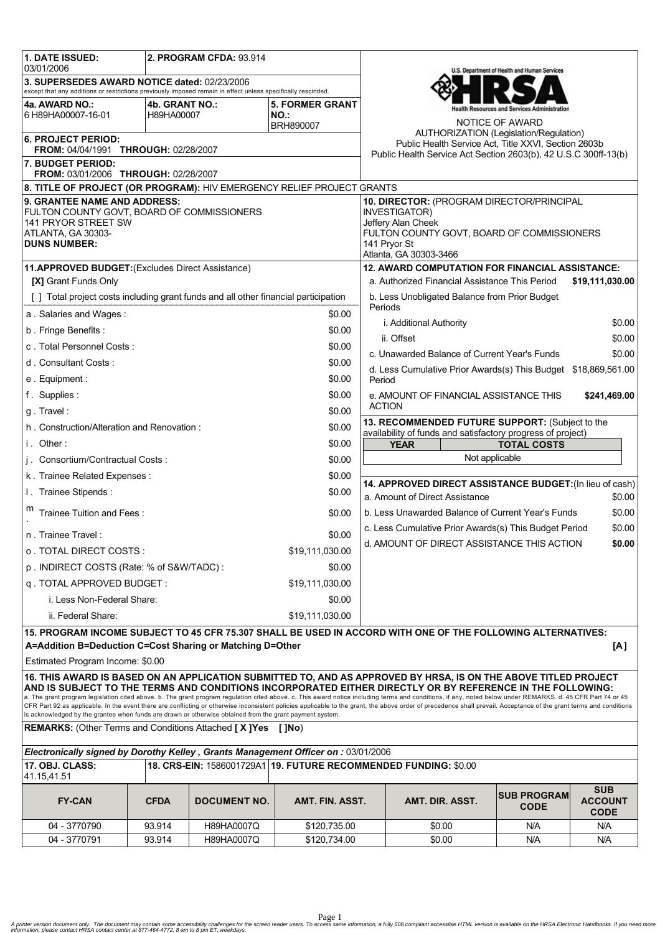| 1. DATE ISSUED:<br>03/01/2006                                                                                                                                                                                                                                                                                                                                                                                                     | 2. PROGRAM CFDA: 93.914                                                            |                     |                                                                          |                                                                                                  |                                                                                                                             | U.S. Department of Health and Human Services |                                             |  |  |
|-----------------------------------------------------------------------------------------------------------------------------------------------------------------------------------------------------------------------------------------------------------------------------------------------------------------------------------------------------------------------------------------------------------------------------------|------------------------------------------------------------------------------------|---------------------|--------------------------------------------------------------------------|--------------------------------------------------------------------------------------------------|-----------------------------------------------------------------------------------------------------------------------------|----------------------------------------------|---------------------------------------------|--|--|
| 3. SUPERSEDES AWARD NOTICE dated: 02/23/2006<br>except that any additions or restrictions previously imposed remain in effect unless specifically rescinded.                                                                                                                                                                                                                                                                      |                                                                                    |                     |                                                                          |                                                                                                  |                                                                                                                             |                                              |                                             |  |  |
| 4a. AWARD NO.:                                                                                                                                                                                                                                                                                                                                                                                                                    | 4b. GRANT NO.:                                                                     |                     | <b>5. FORMER GRANT</b>                                                   |                                                                                                  |                                                                                                                             |                                              |                                             |  |  |
| 6 H89HA00007-16-01                                                                                                                                                                                                                                                                                                                                                                                                                | H89HA00007                                                                         |                     | NO.:                                                                     |                                                                                                  |                                                                                                                             | NOTICE OF AWARD                              |                                             |  |  |
| BRH890007                                                                                                                                                                                                                                                                                                                                                                                                                         |                                                                                    |                     |                                                                          |                                                                                                  | AUTHORIZATION (Legislation/Regulation)                                                                                      |                                              |                                             |  |  |
| <b>6. PROJECT PERIOD:</b><br>FROM: 04/04/1991 THROUGH: 02/28/2007                                                                                                                                                                                                                                                                                                                                                                 |                                                                                    |                     |                                                                          |                                                                                                  | Public Health Service Act, Title XXVI, Section 2603b<br>Public Health Service Act Section 2603(b), 42 U.S.C 300ff-13(b)     |                                              |                                             |  |  |
| 7. BUDGET PERIOD:<br>FROM: 03/01/2006 THROUGH: 02/28/2007                                                                                                                                                                                                                                                                                                                                                                         |                                                                                    |                     |                                                                          |                                                                                                  |                                                                                                                             |                                              |                                             |  |  |
| 8. TITLE OF PROJECT (OR PROGRAM): HIV EMERGENCY RELIEF PROJECT GRANTS                                                                                                                                                                                                                                                                                                                                                             |                                                                                    |                     |                                                                          |                                                                                                  |                                                                                                                             |                                              |                                             |  |  |
| 9. GRANTEE NAME AND ADDRESS:                                                                                                                                                                                                                                                                                                                                                                                                      |                                                                                    |                     |                                                                          |                                                                                                  | 10. DIRECTOR: (PROGRAM DIRECTOR/PRINCIPAL                                                                                   |                                              |                                             |  |  |
| FULTON COUNTY GOVT, BOARD OF COMMISSIONERS                                                                                                                                                                                                                                                                                                                                                                                        |                                                                                    |                     |                                                                          |                                                                                                  | <b>INVESTIGATOR)</b><br>Jeffery Alan Cheek                                                                                  |                                              |                                             |  |  |
| 141 PRYOR STREET SW<br>ATLANTA, GA 30303-                                                                                                                                                                                                                                                                                                                                                                                         |                                                                                    |                     |                                                                          |                                                                                                  | FULTON COUNTY GOVT, BOARD OF COMMISSIONERS                                                                                  |                                              |                                             |  |  |
| <b>DUNS NUMBER:</b>                                                                                                                                                                                                                                                                                                                                                                                                               |                                                                                    |                     |                                                                          |                                                                                                  | 141 Pryor St                                                                                                                |                                              |                                             |  |  |
|                                                                                                                                                                                                                                                                                                                                                                                                                                   |                                                                                    |                     |                                                                          |                                                                                                  | Atlanta, GA 30303-3466                                                                                                      |                                              |                                             |  |  |
| 11.APPROVED BUDGET: (Excludes Direct Assistance)                                                                                                                                                                                                                                                                                                                                                                                  |                                                                                    |                     |                                                                          |                                                                                                  | <b>12. AWARD COMPUTATION FOR FINANCIAL ASSISTANCE:</b><br>a. Authorized Financial Assistance This Period<br>\$19,111,030.00 |                                              |                                             |  |  |
| [X] Grant Funds Only                                                                                                                                                                                                                                                                                                                                                                                                              |                                                                                    |                     |                                                                          | b. Less Unobligated Balance from Prior Budget                                                    |                                                                                                                             |                                              |                                             |  |  |
|                                                                                                                                                                                                                                                                                                                                                                                                                                   | [] Total project costs including grant funds and all other financial participation |                     |                                                                          |                                                                                                  |                                                                                                                             | Periods                                      |                                             |  |  |
| a. Salaries and Wages:<br>\$0.00                                                                                                                                                                                                                                                                                                                                                                                                  |                                                                                    |                     |                                                                          | i. Additional Authority<br>\$0.00                                                                |                                                                                                                             |                                              |                                             |  |  |
| b. Fringe Benefits:                                                                                                                                                                                                                                                                                                                                                                                                               |                                                                                    |                     | \$0.00                                                                   | \$0.00<br>ii. Offset                                                                             |                                                                                                                             |                                              |                                             |  |  |
| c. Total Personnel Costs:<br>\$0.00                                                                                                                                                                                                                                                                                                                                                                                               |                                                                                    |                     |                                                                          | c. Unawarded Balance of Current Year's Funds<br>\$0.00                                           |                                                                                                                             |                                              |                                             |  |  |
| d. Consultant Costs:<br>\$0.00                                                                                                                                                                                                                                                                                                                                                                                                    |                                                                                    |                     |                                                                          |                                                                                                  |                                                                                                                             |                                              |                                             |  |  |
| e. Equipment:<br>\$0.00                                                                                                                                                                                                                                                                                                                                                                                                           |                                                                                    |                     | d. Less Cumulative Prior Awards(s) This Budget \$18,869,561.00<br>Period |                                                                                                  |                                                                                                                             |                                              |                                             |  |  |
| f. Supplies:<br>\$0.00                                                                                                                                                                                                                                                                                                                                                                                                            |                                                                                    |                     | e. AMOUNT OF FINANCIAL ASSISTANCE THIS<br>\$241,469.00                   |                                                                                                  |                                                                                                                             |                                              |                                             |  |  |
| \$0.00<br>g. Travel:                                                                                                                                                                                                                                                                                                                                                                                                              |                                                                                    |                     |                                                                          | <b>ACTION</b>                                                                                    |                                                                                                                             |                                              |                                             |  |  |
| h. Construction/Alteration and Renovation:                                                                                                                                                                                                                                                                                                                                                                                        |                                                                                    |                     | \$0.00                                                                   | 13. RECOMMENDED FUTURE SUPPORT: (Subject to the                                                  |                                                                                                                             |                                              |                                             |  |  |
| i. Other:<br>\$0.00                                                                                                                                                                                                                                                                                                                                                                                                               |                                                                                    |                     |                                                                          | availability of funds and satisfactory progress of project)<br><b>TOTAL COSTS</b><br><b>YEAR</b> |                                                                                                                             |                                              |                                             |  |  |
| j. Consortium/Contractual Costs:<br>\$0.00                                                                                                                                                                                                                                                                                                                                                                                        |                                                                                    |                     |                                                                          | Not applicable                                                                                   |                                                                                                                             |                                              |                                             |  |  |
| \$0.00<br>k. Trainee Related Expenses:                                                                                                                                                                                                                                                                                                                                                                                            |                                                                                    |                     |                                                                          |                                                                                                  |                                                                                                                             |                                              |                                             |  |  |
| I. Trainee Stipends:<br>\$0.00                                                                                                                                                                                                                                                                                                                                                                                                    |                                                                                    |                     |                                                                          | 14. APPROVED DIRECT ASSISTANCE BUDGET: (In lieu of cash)                                         |                                                                                                                             |                                              |                                             |  |  |
|                                                                                                                                                                                                                                                                                                                                                                                                                                   |                                                                                    |                     |                                                                          | a. Amount of Direct Assistance<br>\$0.00                                                         |                                                                                                                             |                                              |                                             |  |  |
| Trainee Tuition and Fees:<br>\$0.00                                                                                                                                                                                                                                                                                                                                                                                               |                                                                                    |                     |                                                                          | \$0.00<br>b. Less Unawarded Balance of Current Year's Funds                                      |                                                                                                                             |                                              |                                             |  |  |
| n. Trainee Travel:<br>\$0.00                                                                                                                                                                                                                                                                                                                                                                                                      |                                                                                    |                     |                                                                          |                                                                                                  | c. Less Cumulative Prior Awards(s) This Budget Period<br>\$0.00                                                             |                                              |                                             |  |  |
| o TOTAL DIRECT COSTS :<br>\$19,111,030.00                                                                                                                                                                                                                                                                                                                                                                                         |                                                                                    |                     |                                                                          |                                                                                                  | d. AMOUNT OF DIRECT ASSISTANCE THIS ACTION<br>\$0.00                                                                        |                                              |                                             |  |  |
| p. INDIRECT COSTS (Rate: % of S&W/TADC):<br>\$0.00                                                                                                                                                                                                                                                                                                                                                                                |                                                                                    |                     |                                                                          |                                                                                                  |                                                                                                                             |                                              |                                             |  |  |
| q. TOTAL APPROVED BUDGET:<br>\$19,111,030.00                                                                                                                                                                                                                                                                                                                                                                                      |                                                                                    |                     |                                                                          |                                                                                                  |                                                                                                                             |                                              |                                             |  |  |
| i. Less Non-Federal Share:<br>\$0.00                                                                                                                                                                                                                                                                                                                                                                                              |                                                                                    |                     |                                                                          |                                                                                                  |                                                                                                                             |                                              |                                             |  |  |
| ii. Federal Share:<br>\$19,111,030.00                                                                                                                                                                                                                                                                                                                                                                                             |                                                                                    |                     |                                                                          |                                                                                                  |                                                                                                                             |                                              |                                             |  |  |
| 15. PROGRAM INCOME SUBJECT TO 45 CFR 75.307 SHALL BE USED IN ACCORD WITH ONE OF THE FOLLOWING ALTERNATIVES:                                                                                                                                                                                                                                                                                                                       |                                                                                    |                     |                                                                          |                                                                                                  |                                                                                                                             |                                              |                                             |  |  |
| A=Addition B=Deduction C=Cost Sharing or Matching D=Other<br>[A]                                                                                                                                                                                                                                                                                                                                                                  |                                                                                    |                     |                                                                          |                                                                                                  |                                                                                                                             |                                              |                                             |  |  |
| Estimated Program Income: \$0.00                                                                                                                                                                                                                                                                                                                                                                                                  |                                                                                    |                     |                                                                          |                                                                                                  |                                                                                                                             |                                              |                                             |  |  |
| 16. THIS AWARD IS BASED ON AN APPLICATION SUBMITTED TO, AND AS APPROVED BY HRSA, IS ON THE ABOVE TITLED PROJECT                                                                                                                                                                                                                                                                                                                   |                                                                                    |                     |                                                                          |                                                                                                  |                                                                                                                             |                                              |                                             |  |  |
| AND IS SUBJECT TO THE TERMS AND CONDITIONS INCORPORATED EITHER DIRECTLY OR BY REFERENCE IN THE FOLLOWING:                                                                                                                                                                                                                                                                                                                         |                                                                                    |                     |                                                                          |                                                                                                  |                                                                                                                             |                                              |                                             |  |  |
| a. The grant program legislation cited above. b. The grant program regulation cited above. c. This award notice including terms and conditions, if any, noted below under REMARKS. d. 45 CFR Part 74 or 45<br>CFR Part 92 as applicable. In the event there are conflicting or otherwise inconsistent policies applicable to the grant, the above order of precedence shall prevail. Acceptance of the grant terms and conditions |                                                                                    |                     |                                                                          |                                                                                                  |                                                                                                                             |                                              |                                             |  |  |
| is acknowledged by the grantee when funds are drawn or otherwise obtained from the grant payment system.                                                                                                                                                                                                                                                                                                                          |                                                                                    |                     |                                                                          |                                                                                                  |                                                                                                                             |                                              |                                             |  |  |
|                                                                                                                                                                                                                                                                                                                                                                                                                                   | <b>REMARKS:</b> (Other Terms and Conditions Attached [X]Yes [JNo)                  |                     |                                                                          |                                                                                                  |                                                                                                                             |                                              |                                             |  |  |
| Electronically signed by Dorothy Kelley, Grants Management Officer on: 03/01/2006                                                                                                                                                                                                                                                                                                                                                 |                                                                                    |                     |                                                                          |                                                                                                  |                                                                                                                             |                                              |                                             |  |  |
| 17. OBJ. CLASS:<br>18. CRS-EIN: 1586001729A1 19. FUTURE RECOMMENDED FUNDING: \$0.00<br>41.15,41.51                                                                                                                                                                                                                                                                                                                                |                                                                                    |                     |                                                                          |                                                                                                  |                                                                                                                             |                                              |                                             |  |  |
| <b>FY-CAN</b>                                                                                                                                                                                                                                                                                                                                                                                                                     | <b>CFDA</b>                                                                        | <b>DOCUMENT NO.</b> | AMT. FIN. ASST.                                                          |                                                                                                  | AMT. DIR. ASST.                                                                                                             | <b>SUB PROGRAM</b><br><b>CODE</b>            | <b>SUB</b><br><b>ACCOUNT</b><br><b>CODE</b> |  |  |
| 04 - 3770790                                                                                                                                                                                                                                                                                                                                                                                                                      | 93.914                                                                             | H89HA0007Q          | \$120,735.00                                                             |                                                                                                  | \$0.00                                                                                                                      | N/A                                          | N/A                                         |  |  |
| 04 - 3770791                                                                                                                                                                                                                                                                                                                                                                                                                      | 93.914                                                                             | H89HA0007Q          | \$120,734.00                                                             |                                                                                                  | \$0.00                                                                                                                      | N/A                                          | N/A                                         |  |  |

Page 1<br>A printer version document only. The document may contain some accessibility challenges for the screen reader users. To access same information, a fully 508 compliant accessible HTML version is available on the HRSA